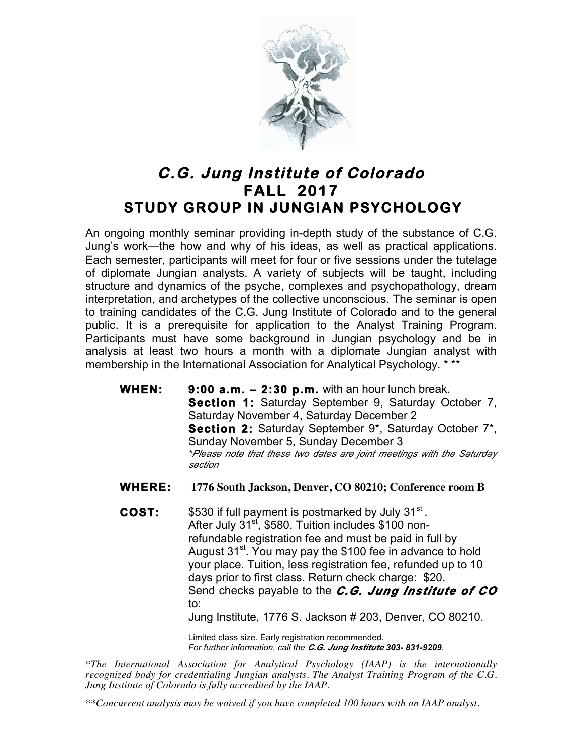

## **C.G. Jung Institute of Colorado FALL 2017 STUDY GROUP IN JUNGIAN PSYCHOLOGY**

An ongoing monthly seminar providing in-depth study of the substance of C.G. Jung's work—the how and why of his ideas, as well as practical applications. Each semester, participants will meet for four or five sessions under the tutelage of diplomate Jungian analysts. A variety of subjects will be taught, including structure and dynamics of the psyche, complexes and psychopathology, dream interpretation, and archetypes of the collective unconscious. The seminar is open to training candidates of the C.G. Jung Institute of Colorado and to the general public. It is a prerequisite for application to the Analyst Training Program. Participants must have some background in Jungian psychology and be in analysis at least two hours a month with a diplomate Jungian analyst with membership in the International Association for Analytical Psychology. \* \*\*

- **WHEN: 9:00 a.m. 2:30 p.m.** with an hour lunch break. **Section 1:** Saturday September 9, Saturday October 7, Saturday November 4, Saturday December 2 **Section 2:** Saturday September 9\*, Saturday October 7\*, Sunday November 5, Sunday December 3 *\*Please note that these two dates are joint meetings with the Saturday section*
- **WHERE: 1776 South Jackson, Denver, CO 80210; Conference room B**
- **COST:** \$530 if full payment is postmarked by July 31<sup>st</sup>. After July 31<sup>sf</sup>, \$580. Tuition includes \$100 nonrefundable registration fee and must be paid in full by August 31<sup>st</sup>. You may pay the \$100 fee in advance to hold your place. Tuition, less registration fee, refunded up to 10 days prior to first class. Return check charge: \$20. Send checks payable to the *C.G. Jung Institute of CO* to:

Jung Institute, 1776 S. Jackson # 203, Denver, CO 80210.

Limited class size. Early registration recommended. *For further information, call the C.G. Jung Institute 303- 831-9209.*

*\*The International Association for Analytical Psychology (IAAP) is the internationally recognized body for credentialing Jungian analysts. The Analyst Training Program of the C.G. Jung Institute of Colorado is fully accredited by the IAAP.* 

*\*\*Concurrent analysis may be waived if you have completed 100 hours with an IAAP analyst.*